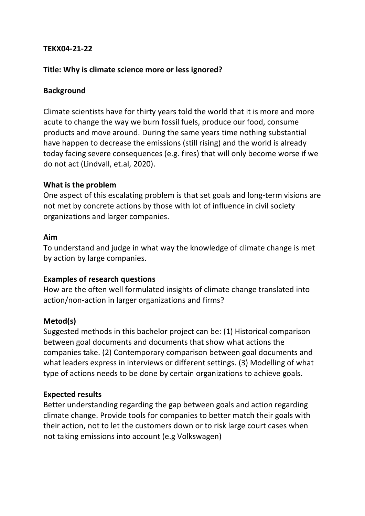## **TEKX04-21-22**

## **Title: Why is climate science more or less ignored?**

### **Background**

Climate scientists have for thirty years told the world that it is more and more acute to change the way we burn fossil fuels, produce our food, consume products and move around. During the same years time nothing substantial have happen to decrease the emissions (still rising) and the world is already today facing severe consequences (e.g. fires) that will only become worse if we do not act (Lindvall, et.al, 2020).

#### **What is the problem**

One aspect of this escalating problem is that set goals and long-term visions are not met by concrete actions by those with lot of influence in civil society organizations and larger companies.

#### **Aim**

To understand and judge in what way the knowledge of climate change is met by action by large companies.

## **Examples of research questions**

How are the often well formulated insights of climate change translated into action/non-action in larger organizations and firms?

## **Metod(s)**

Suggested methods in this bachelor project can be: (1) Historical comparison between goal documents and documents that show what actions the companies take. (2) Contemporary comparison between goal documents and what leaders express in interviews or different settings. (3) Modelling of what type of actions needs to be done by certain organizations to achieve goals.

#### **Expected results**

Better understanding regarding the gap between goals and action regarding climate change. Provide tools for companies to better match their goals with their action, not to let the customers down or to risk large court cases when not taking emissions into account (e.g Volkswagen)